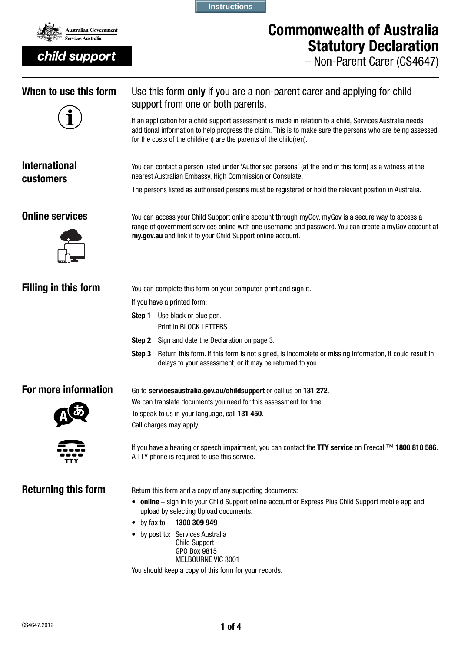

# Commonwealth of Australia Statutory Declaration

– Non-Parent Carer (CS4647)

| When to use this form                    | Use this form only if you are a non-parent carer and applying for child<br>support from one or both parents.<br>If an application for a child support assessment is made in relation to a child, Services Australia needs<br>additional information to help progress the claim. This is to make sure the persons who are being assessed<br>for the costs of the child(ren) are the parents of the child(ren). |  |  |  |  |
|------------------------------------------|---------------------------------------------------------------------------------------------------------------------------------------------------------------------------------------------------------------------------------------------------------------------------------------------------------------------------------------------------------------------------------------------------------------|--|--|--|--|
| <b>International</b><br><b>customers</b> | You can contact a person listed under 'Authorised persons' (at the end of this form) as a witness at the<br>nearest Australian Embassy, High Commission or Consulate.<br>The persons listed as authorised persons must be registered or hold the relevant position in Australia.                                                                                                                              |  |  |  |  |
| <b>Online services</b>                   | You can access your Child Support online account through myGov. myGov is a secure way to access a<br>range of government services online with one username and password. You can create a myGov account at<br>my.gov.au and link it to your Child Support online account.                                                                                                                                     |  |  |  |  |
| <b>Filling in this form</b>              | You can complete this form on your computer, print and sign it.<br>If you have a printed form:<br>Use black or blue pen.<br>Step 1<br>Print in BLOCK LETTERS.<br>Sign and date the Declaration on page 3.<br>Step 2<br>Return this form. If this form is not signed, is incomplete or missing information, it could result in<br>Step 3<br>delays to your assessment, or it may be returned to you.           |  |  |  |  |
| For more information                     | Go to servicesaustralia.gov.au/childsupport or call us on 131 272.<br>We can translate documents you need for this assessment for free.<br>To speak to us in your language, call 131 450.<br>Call charges may apply.<br>If you have a hearing or speech impairment, you can contact the TTY service on Freecall™ 1800 810 586.<br>A TTY phone is required to use this service.                                |  |  |  |  |
| <b>Returning this form</b>               | Return this form and a copy of any supporting documents:<br>• online - sign in to your Child Support online account or Express Plus Child Support mobile app and<br>upload by selecting Upload documents.<br>$\bullet$ by fax to:<br>1300 309 949<br>• by post to: Services Australia<br><b>Child Support</b><br>GPO Box 9815<br>MELBOURNE VIC 3001<br>You should keep a copy of this form for your records.  |  |  |  |  |

**Instructions**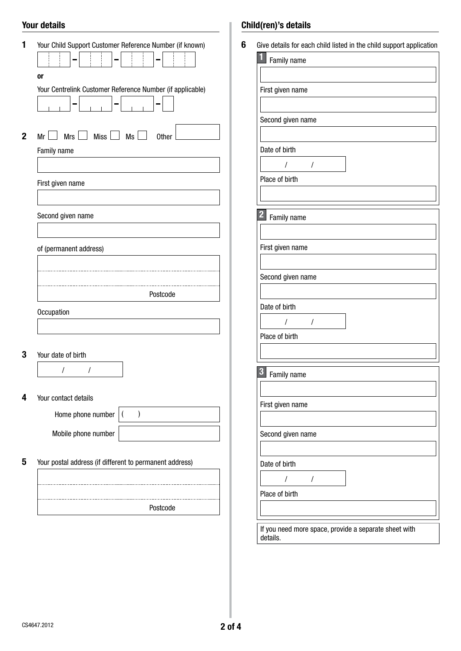## Your details

| 0r                                                          |                                                           |
|-------------------------------------------------------------|-----------------------------------------------------------|
|                                                             | Your Centrelink Customer Reference Number (if applicable) |
| $Mrs$ $\Box$ Miss $\Box$ Ms $\Box$<br>Mr <br>$\blacksquare$ | <b>Other</b>                                              |
| Family name                                                 |                                                           |
|                                                             |                                                           |
| First given name                                            |                                                           |
| Second given name                                           |                                                           |
|                                                             |                                                           |
| of (permanent address)                                      |                                                           |
|                                                             |                                                           |
|                                                             | Postcode                                                  |
| Occupation                                                  |                                                           |
|                                                             |                                                           |
| Your date of birth                                          |                                                           |
| I<br>I                                                      |                                                           |
|                                                             |                                                           |
| Your contact details                                        | $\mathcal{E}$                                             |
| Home phone number                                           | $\overline{(}$                                            |
|                                                             |                                                           |
| Mobile phone number                                         |                                                           |

# Child(ren)'s details

| Family name                 |          |  |
|-----------------------------|----------|--|
| First given name            |          |  |
| Second given name           |          |  |
|                             |          |  |
| Date of birth<br>I          | $\prime$ |  |
| Place of birth              |          |  |
| $\mathbf{2}$<br>Family name |          |  |
| First given name            |          |  |
| Second given name           |          |  |
| Date of birth               |          |  |
| $\prime$<br>Place of birth  | $\prime$ |  |
| 3<br>Family name            |          |  |
|                             |          |  |
| First given name            |          |  |
| Second given name           |          |  |
| Date of birth               |          |  |
| /<br>Place of birth         | I        |  |
|                             |          |  |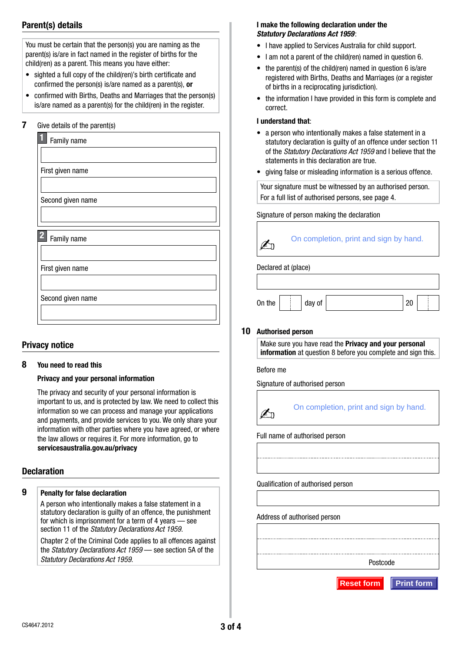## Parent(s) details

You must be certain that the person(s) you are naming as the parent(s) is/are in fact named in the register of births for the child(ren) as a parent. This means you have either:

- sighted a full copy of the child(ren)'s birth certificate and confirmed the person(s) is/are named as a parent(s), or
- confirmed with Births, Deaths and Marriages that the person(s) is/are named as a parent(s) for the child(ren) in the register.

## 7 Give details of the parent(s)

## Privacy notice

## 8 You need to read this

## Privacy and your personal information

The privacy and security of your personal information is important to us, and is protected by law. We need to collect this information so we can process and manage your applications and payments, and provide services to you. We only share your information with other parties where you have agreed, or where the law allows or requires it. For more information, go to servicesaustralia.gov.au/privacy

## **Declaration**

## 9 Penalty for false declaration

A person who intentionally makes a false statement in a statutory declaration is quilty of an offence, the punishment for which is imprisonment for a term of 4 years — see section 11 of the *Statutory Declarations Act 1959*.

Chapter 2 of the Criminal Code applies to all offences against the *Statutory Declarations Act 1959* — see section 5A of the *Statutory Declarations Act 1959*.

## I make the following declaration under the *Statutory Declarations Act 1959*:

- I have applied to Services Australia for child support.
- I am not a parent of the child(ren) named in question 6.
- the parent(s) of the child(ren) named in question 6 is/are registered with Births, Deaths and Marriages (or a register of births in a reciprocating jurisdiction).
- the information I have provided in this form is complete and correct.

#### I understand that:

- a person who intentionally makes a false statement in a statutory declaration is guilty of an offence under section 11 of the *Statutory Declarations Act 1959* and I believe that the statements in this declaration are true.
- giving false or misleading information is a serious offence.

Your signature must be witnessed by an authorised person. For a full list of authorised persons, see page 4.

## Signature of person making the declaration

| On completion, print and sign by hand. |
|----------------------------------------|
|                                        |

## Declared at (place)

| On the | day of | - |  |
|--------|--------|---|--|

#### 10 Authorised person

Make sure you have read the Privacy and your personal information at question 8 before you complete and sign this.

Before me

Signature of authorised person



Full name of authorised person

Qualification of authorised person

Address of authorised person